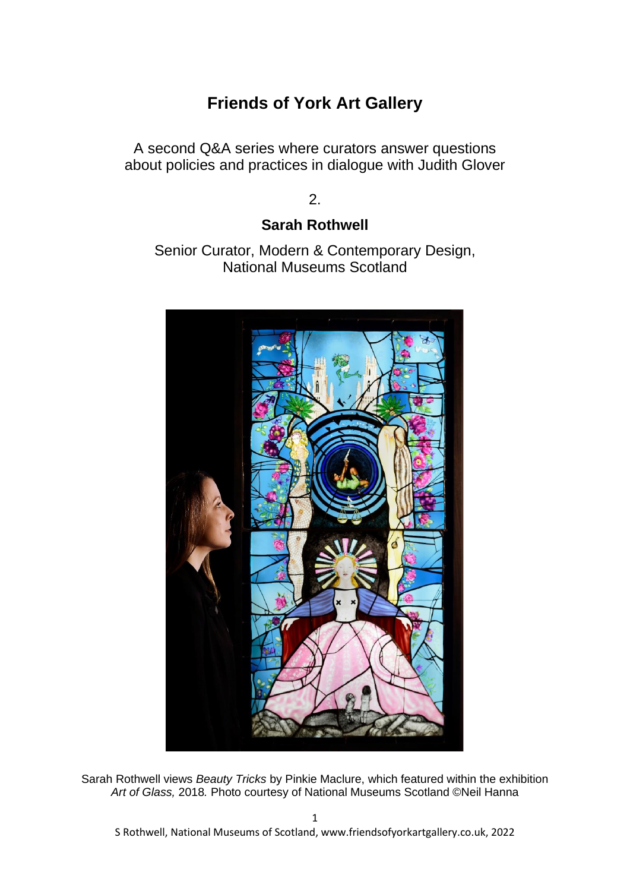# **Friends of York Art Gallery**

A second Q&A series where curators answer questions about policies and practices in dialogue with Judith Glover

2.

## **Sarah Rothwell**

Senior Curator, Modern & Contemporary Design, National Museums Scotland



Sarah Rothwell views *Beauty Tricks* by Pinkie Maclure, which featured within the exhibition *Art of Glass,* 2018*.* Photo courtesy of National Museums Scotland ©Neil Hanna

S Rothwell, National Museums of Scotland, www.friendsofyorkartgallery.co.uk, 2022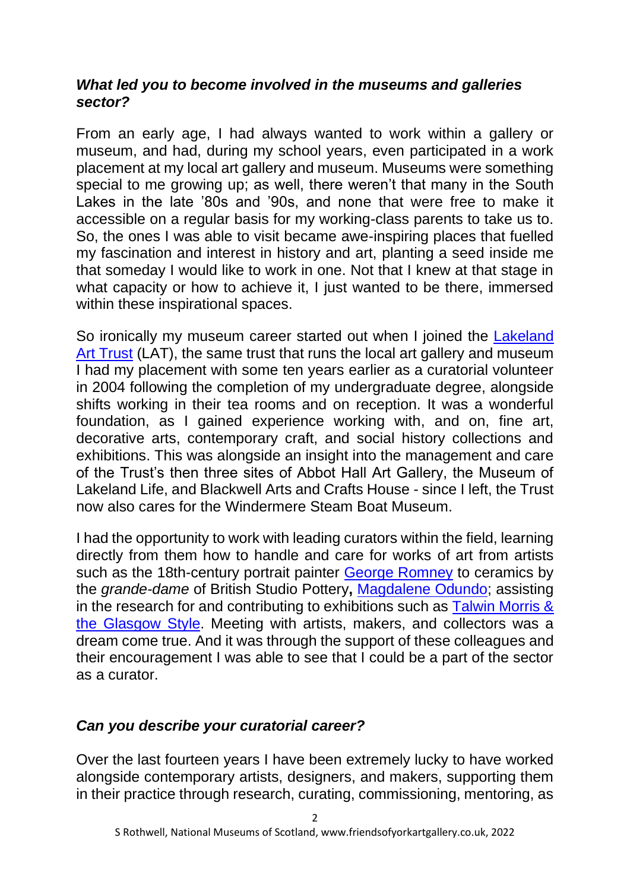### *What led you to become involved in the museums and galleries sector?*

From an early age, I had always wanted to work within a gallery or museum, and had, during my school years, even participated in a work placement at my local art gallery and museum. Museums were something special to me growing up; as well, there weren't that many in the South Lakes in the late '80s and '90s, and none that were free to make it accessible on a regular basis for my working-class parents to take us to. So, the ones I was able to visit became awe-inspiring places that fuelled my fascination and interest in history and art, planting a seed inside me that someday I would like to work in one. Not that I knew at that stage in what capacity or how to achieve it, I just wanted to be there, immersed within these inspirational spaces.

So ironically my museum career started out when I joined the Lakeland [Art Trust](https://lakelandarts.org.uk/) (LAT), the same trust that runs the local art gallery and museum I had my placement with some ten years earlier as a curatorial volunteer in 2004 following the completion of my undergraduate degree, alongside shifts working in their tea rooms and on reception. It was a wonderful foundation, as I gained experience working with, and on, fine art, decorative arts, contemporary craft, and social history collections and exhibitions. This was alongside an insight into the management and care of the Trust's then three sites of Abbot Hall Art Gallery, the Museum of Lakeland Life, and Blackwell Arts and Crafts House - since I left, the Trust now also cares for the Windermere Steam Boat Museum.

I had the opportunity to work with leading curators within the field, learning directly from them how to handle and care for works of art from artists such as the 18th-century portrait painter [George Romney](https://www.nationalgalleries.org/art-and-artists/artists/george-romney) to ceramics by the *grande-dame* of British Studio Pottery**,** [Magdalene Odundo;](https://hepworthwakefield.org/artist/magdalene-odundo/) assisting in the research for and contributing to exhibitions such as [Talwin Morris &](https://www.theglasgowstyle.co.uk/talwin-morris)  [the Glasgow Style.](https://www.theglasgowstyle.co.uk/talwin-morris) Meeting with artists, makers, and collectors was a dream come true. And it was through the support of these colleagues and their encouragement I was able to see that I could be a part of the sector as a curator.

## *Can you describe your curatorial career?*

Over the last fourteen years I have been extremely lucky to have worked alongside contemporary artists, designers, and makers, supporting them in their practice through research, curating, commissioning, mentoring, as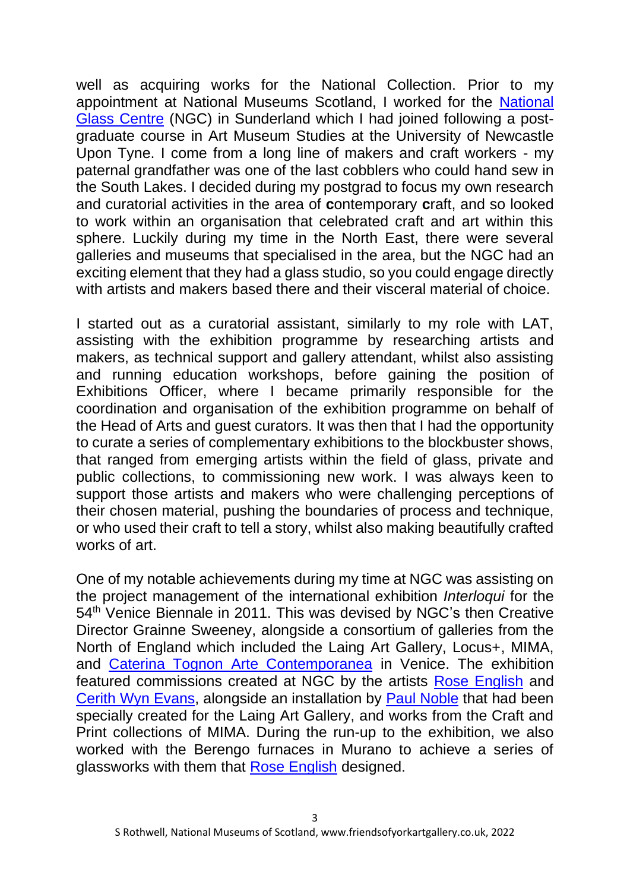well as acquiring works for the National Collection. Prior to my appointment at National Museums Scotland, I worked for the [National](https://nationalglasscentre.com/)  [Glass Centre](https://nationalglasscentre.com/) (NGC) in Sunderland which I had joined following a postgraduate course in Art Museum Studies at the University of Newcastle Upon Tyne. I come from a long line of makers and craft workers - my paternal grandfather was one of the last cobblers who could hand sew in the South Lakes. I decided during my postgrad to focus my own research and curatorial activities in the area of **c**ontemporary **c**raft, and so looked to work within an organisation that celebrated craft and art within this sphere. Luckily during my time in the North East, there were several galleries and museums that specialised in the area, but the NGC had an exciting element that they had a glass studio, so you could engage directly with artists and makers based there and their visceral material of choice.

I started out as a curatorial assistant, similarly to my role with LAT, assisting with the exhibition programme by researching artists and makers, as technical support and gallery attendant, whilst also assisting and running education workshops, before gaining the position of Exhibitions Officer, where I became primarily responsible for the coordination and organisation of the exhibition programme on behalf of the Head of Arts and guest curators. It was then that I had the opportunity to curate a series of complementary exhibitions to the blockbuster shows, that ranged from emerging artists within the field of glass, private and public collections, to commissioning new work. I was always keen to support those artists and makers who were challenging perceptions of their chosen material, pushing the boundaries of process and technique, or who used their craft to tell a story, whilst also making beautifully crafted works of art.

One of my notable achievements during my time at NGC was assisting on the project management of the international exhibition *Interloqui* for the 54<sup>th</sup> Venice Biennale in 2011. This was devised by NGC's then Creative Director Grainne Sweeney, alongside a consortium of galleries from the North of England which included the Laing Art Gallery, Locus+, MIMA, and [Caterina Tognon Arte Contemporanea](https://www.caterinatognon.com/exhibitions/interloqui) in Venice. The exhibition featured commissions created at NGC by the artists [Rose English](https://roseenglishperformance.net/About) and [Cerith Wyn Evans,](https://hepworthwakefield.org/artist/cerith-wyn-evans/) alongside an installation by [Paul Noble](https://gagosian.com/artists/paul-noble/) that had been specially created for the Laing Art Gallery, and works from the Craft and Print collections of MIMA. During the run-up to the exhibition, we also worked with the Berengo furnaces in Murano to achieve a series of glassworks with them that [Rose English](https://www.youtube.com/watch?v=ayVUBDfp7zw) designed.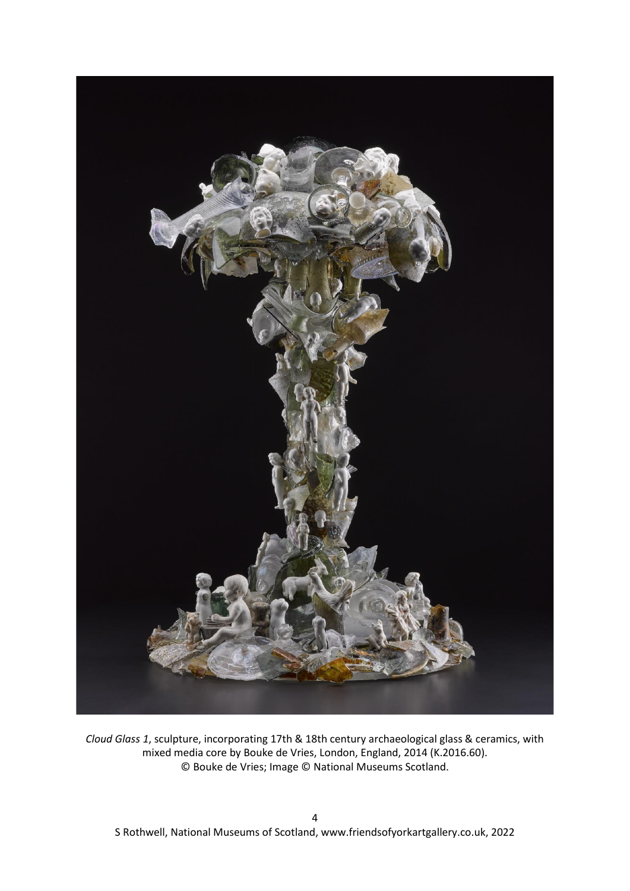

*Cloud Glass 1*, sculpture, incorporating 17th & 18th century archaeological glass & ceramics, with mixed media core by Bouke de Vries, London, England, 2014 (K.2016.60). © Bouke de Vries; Image © National Museums Scotland.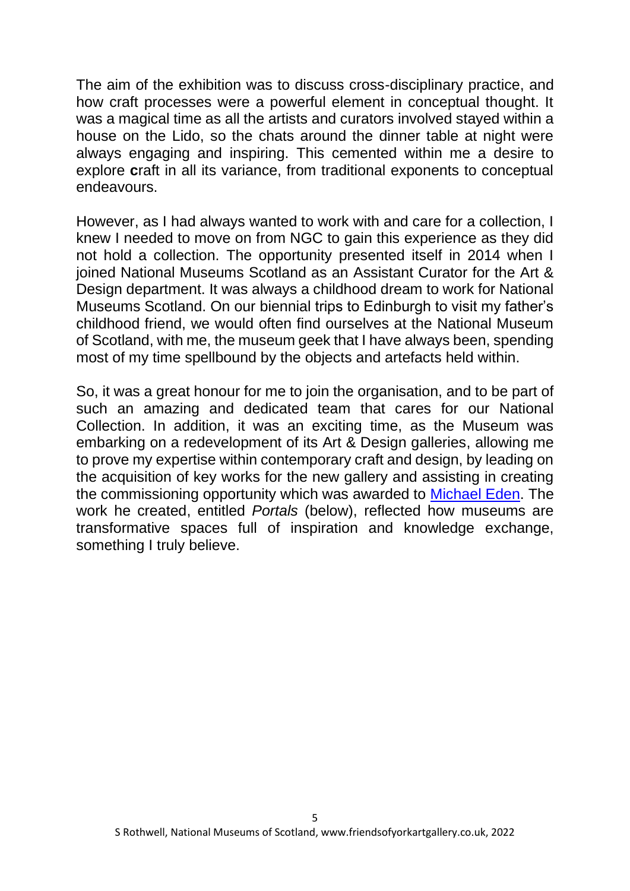The aim of the exhibition was to discuss cross-disciplinary practice, and how craft processes were a powerful element in conceptual thought. It was a magical time as all the artists and curators involved stayed within a house on the Lido, so the chats around the dinner table at night were always engaging and inspiring. This cemented within me a desire to explore **c**raft in all its variance, from traditional exponents to conceptual endeavours.

However, as I had always wanted to work with and care for a collection, I knew I needed to move on from NGC to gain this experience as they did not hold a collection. The opportunity presented itself in 2014 when I joined National Museums Scotland as an Assistant Curator for the Art & Design department. It was always a childhood dream to work for National Museums Scotland. On our biennial trips to Edinburgh to visit my father's childhood friend, we would often find ourselves at the National Museum of Scotland, with me, the museum geek that I have always been, spending most of my time spellbound by the objects and artefacts held within.

So, it was a great honour for me to join the organisation, and to be part of such an amazing and dedicated team that cares for our National Collection. In addition, it was an exciting time, as the Museum was embarking on a redevelopment of its Art & Design galleries, allowing me to prove my expertise within contemporary craft and design, by leading on the acquisition of key works for the new gallery and assisting in creating the commissioning opportunity which was awarded to [Michael Eden.](http://www.michael-eden.com/) The work he created, entitled *Portals* (below), reflected how museums are transformative spaces full of inspiration and knowledge exchange, something I truly believe.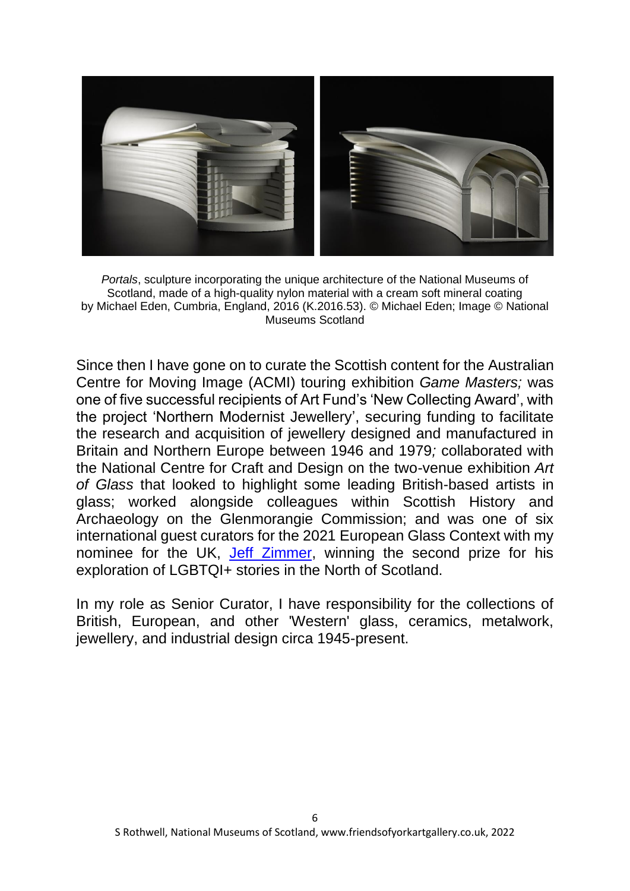

*Portals*, sculpture incorporating the unique architecture of the National Museums of Scotland, made of a high-quality nylon material with a cream soft mineral coating by Michael Eden, Cumbria, England, 2016 (K.2016.53). © Michael Eden; Image © National Museums Scotland

Since then I have gone on to curate the Scottish content for the Australian Centre for Moving Image (ACMI) touring exhibition *Game Masters;* was one of five successful recipients of Art Fund's 'New Collecting Award', with the project 'Northern Modernist Jewellery', securing funding to facilitate the research and acquisition of jewellery designed and manufactured in Britain and Northern Europe between 1946 and 1979*;* collaborated with the National Centre for Craft and Design on the two-venue exhibition *Art of Glass* that looked to highlight some leading British-based artists in glass; worked alongside colleagues within Scottish History and Archaeology on the Glenmorangie Commission; and was one of six international guest curators for the 2021 European Glass Context with my nominee for the UK, [Jeff Zimmer,](http://www.jeffxzimmer.com/) winning the second prize for his exploration of LGBTQI+ stories in the North of Scotland.

In my role as Senior Curator, I have responsibility for the collections of British, European, and other 'Western' glass, ceramics, metalwork, jewellery, and industrial design circa 1945-present.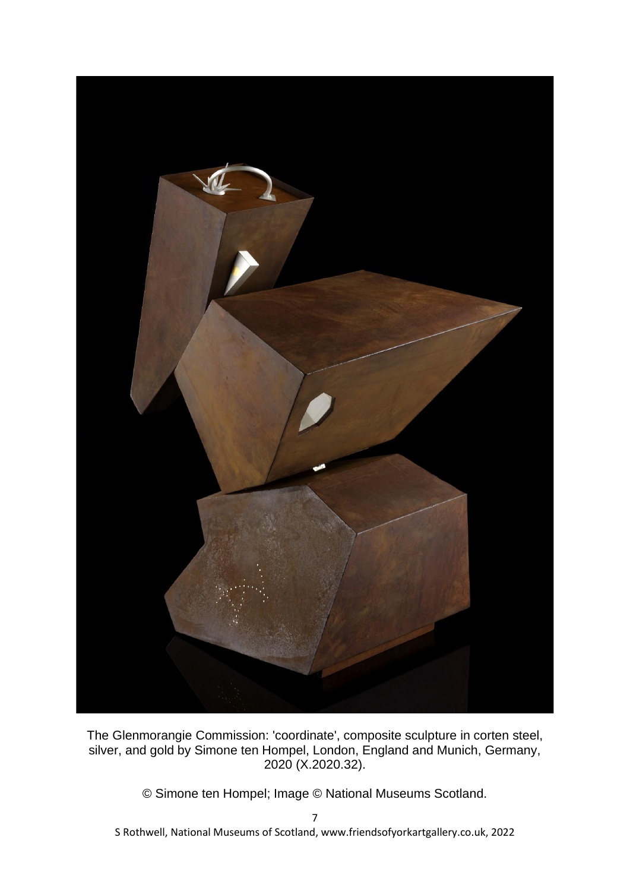

The Glenmorangie Commission: 'coordinate', composite sculpture in corten steel, silver, and gold by Simone ten Hompel, London, England and Munich, Germany, 2020 (X.2020.32).

© Simone ten Hompel; Image © National Museums Scotland.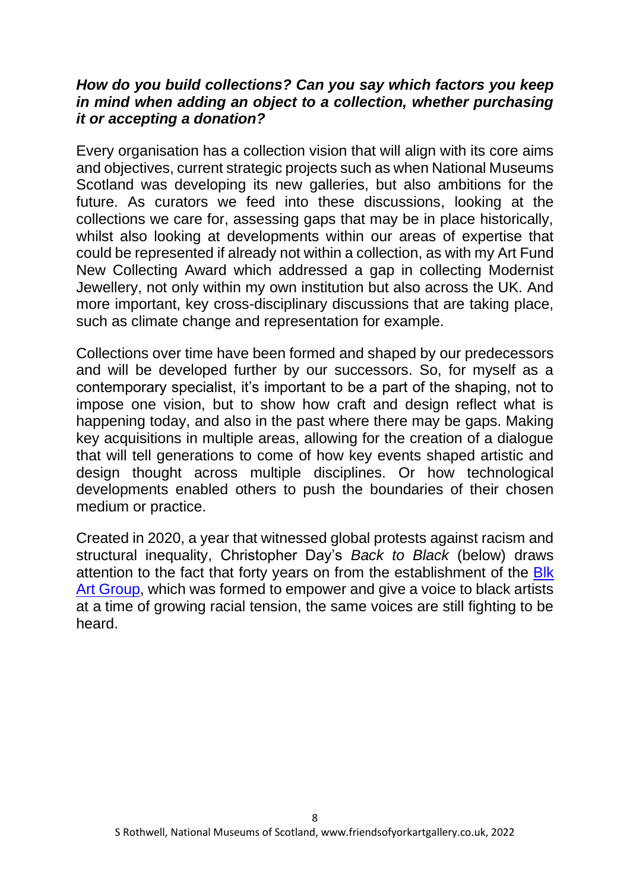#### *How do you build collections? Can you say which factors you keep in mind when adding an object to a collection, whether purchasing it or accepting a donation?*

Every organisation has a collection vision that will align with its core aims and objectives, current strategic projects such as when National Museums Scotland was developing its new galleries, but also ambitions for the future. As curators we feed into these discussions, looking at the collections we care for, assessing gaps that may be in place historically, whilst also looking at developments within our areas of expertise that could be represented if already not within a collection, as with my Art Fund New Collecting Award which addressed a gap in collecting Modernist Jewellery, not only within my own institution but also across the UK. And more important, key cross-disciplinary discussions that are taking place, such as climate change and representation for example.

Collections over time have been formed and shaped by our predecessors and will be developed further by our successors. So, for myself as a contemporary specialist, it's important to be a part of the shaping, not to impose one vision, but to show how craft and design reflect what is happening today, and also in the past where there may be gaps. Making key acquisitions in multiple areas, allowing for the creation of a dialogue that will tell generations to come of how key events shaped artistic and design thought across multiple disciplines. Or how technological developments enabled others to push the boundaries of their chosen medium or practice.

Created in 2020, a year that witnessed global protests against racism and structural inequality, Christopher Day's *Back to Black* (below) draws attention to the fact that forty years on from the establishment of the Blk [Art Group,](http://www.blkartgroup.info/) which was formed to empower and give a voice to black artists at a time of growing racial tension, the same voices are still fighting to be heard.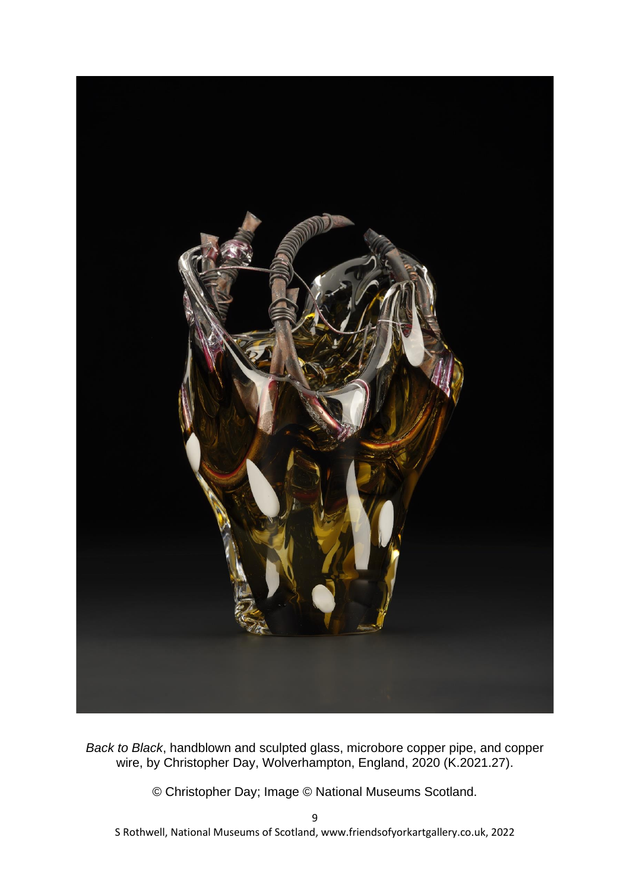

*Back to Black*, handblown and sculpted glass, microbore copper pipe, and copper wire, by Christopher Day, Wolverhampton, England, 2020 (K.2021.27).

© Christopher Day; Image © National Museums Scotland.

S Rothwell, National Museums of Scotland, www.friendsofyorkartgallery.co.uk, 2022